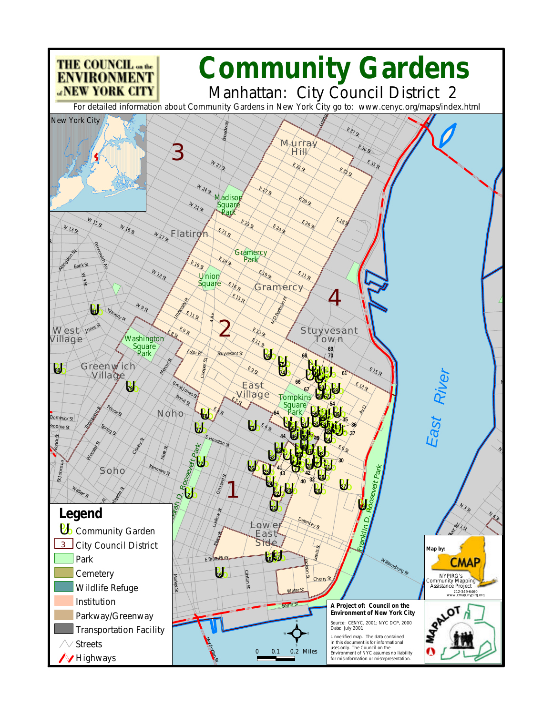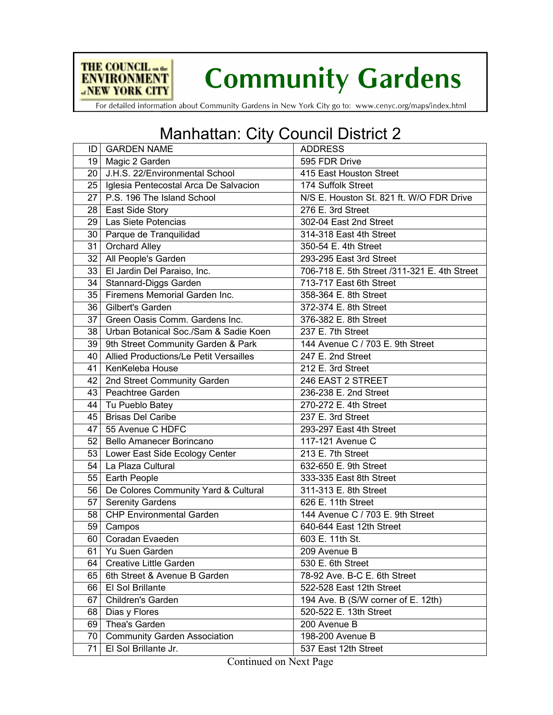

**Community Gardens** 

For detailed information about Community Gardens in New York City go to: www.cenyc.org/maps/index.html

## Manhattan: City Council District 2

| ID              | <b>GARDEN NAME</b>                         | <b>ADDRESS</b>                               |
|-----------------|--------------------------------------------|----------------------------------------------|
|                 | 19   Magic 2 Garden                        | 595 FDR Drive                                |
| 20 <sub>1</sub> | J.H.S. 22/Environmental School             | 415 East Houston Street                      |
|                 | 25   Iglesia Pentecostal Arca De Salvacion | 174 Suffolk Street                           |
| 27              | P.S. 196 The Island School                 | N/S E. Houston St. 821 ft. W/O FDR Drive     |
|                 | 28   East Side Story                       | 276 E. 3rd Street                            |
| 29              | Las Siete Potencias                        | 302-04 East 2nd Street                       |
| 30              | Parque de Tranquilidad                     | 314-318 East 4th Street                      |
| 31              | <b>Orchard Alley</b>                       | 350-54 E. 4th Street                         |
| 32              | All People's Garden                        | 293-295 East 3rd Street                      |
| 33              | El Jardin Del Paraiso, Inc.                | 706-718 E. 5th Street /311-321 E. 4th Street |
| 34              | Stannard-Diggs Garden                      | 713-717 East 6th Street                      |
| 35              | Firemens Memorial Garden Inc.              | 358-364 E. 8th Street                        |
|                 | 36   Gilbert's Garden                      | 372-374 E. 8th Street                        |
| 37 I            | Green Oasis Comm. Gardens Inc.             | 376-382 E. 8th Street                        |
| 38              | Urban Botanical Soc./Sam & Sadie Koen      | 237 E. 7th Street                            |
| 39              | 9th Street Community Garden & Park         | 144 Avenue C / 703 E. 9th Street             |
| 40              | Allied Productions/Le Petit Versailles     | 247 E. 2nd Street                            |
| 41              | KenKeleba House                            | 212 E. 3rd Street                            |
| 42              | 2nd Street Community Garden                | 246 EAST 2 STREET                            |
| 43              | <b>Peachtree Garden</b>                    | 236-238 E. 2nd Street                        |
| 44              | Tu Pueblo Batey                            | 270-272 E. 4th Street                        |
| 45              | <b>Brisas Del Caribe</b>                   | 237 E. 3rd Street                            |
| 47              | 55 Avenue C HDFC                           | 293-297 East 4th Street                      |
| 52              | <b>Bello Amanecer Borincano</b>            | 117-121 Avenue C                             |
|                 | 53 Lower East Side Ecology Center          | 213 E. 7th Street                            |
| 54              | La Plaza Cultural                          | 632-650 E. 9th Street                        |
| 55              | <b>Earth People</b>                        | 333-335 East 8th Street                      |
| 56              | De Colores Community Yard & Cultural       | 311-313 E. 8th Street                        |
| 57              | Serenity Gardens                           | 626 E. 11th Street                           |
| 58              | <b>CHP Environmental Garden</b>            | 144 Avenue C / 703 E. 9th Street             |
| 59              | Campos                                     | 640-644 East 12th Street                     |
| 60              | Coradan Evaeden                            | 603 E. 11th St.                              |
| 61              | Yu Suen Garden                             | 209 Avenue B                                 |
| 64              | Creative Little Garden                     | 530 E. 6th Street                            |
| 65              | 6th Street & Avenue B Garden               | 78-92 Ave. B-C E. 6th Street                 |
| 66              | El Sol Brillante                           | 522-528 East 12th Street                     |
| 67              | Children's Garden                          | 194 Ave. B (S/W corner of E. 12th)           |
| 68              | Dias y Flores                              | 520-522 E. 13th Street                       |
| 69              | Thea's Garden                              | 200 Avenue B                                 |
| 70              | <b>Community Garden Association</b>        | 198-200 Avenue B                             |
| 71              | El Sol Brillante Jr.                       | 537 East 12th Street                         |

Continued on Next Page